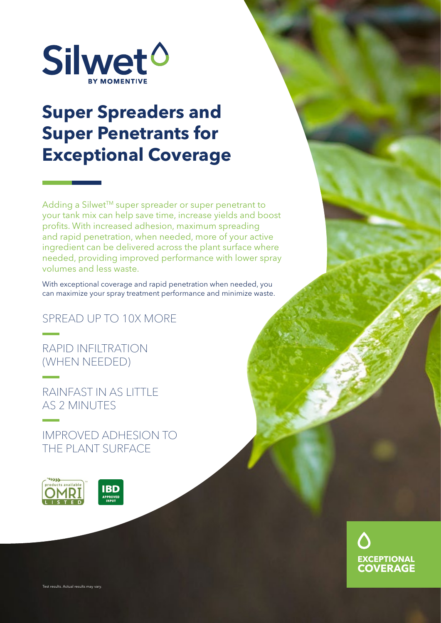

## **Super Spreaders and Super Penetrants for Exceptional Coverage**

Adding a Silwet™ super spreader or super penetrant to your tank mix can help save time, increase yields and boost profits. With increased adhesion, maximum spreading and rapid penetration, when needed, more of your active ingredient can be delivered across the plant surface where needed, providing improved performance with lower spray volumes and less waste.

With exceptional coverage and rapid penetration when needed, you can maximize your spray treatment performance and minimize waste.

SPREAD UP TO 10X MORE

RAPID INFILTRATION (WHEN NEEDED)

RAINFAST IN AS LITTLE AS 2 MINUTES

IMPROVED ADHESION TO THE PLANT SURFACE





Test results. Actual results may vary.